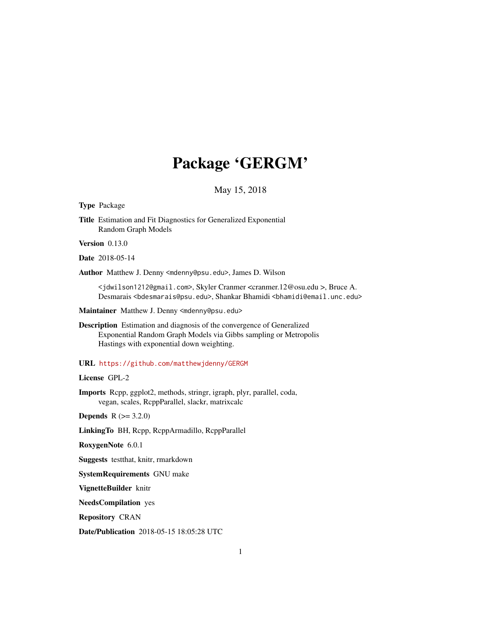## Package 'GERGM'

### May 15, 2018

#### Type Package

Title Estimation and Fit Diagnostics for Generalized Exponential Random Graph Models

Version 0.13.0

Date 2018-05-14

Author Matthew J. Denny <mdenny@psu.edu>, James D. Wilson

<jdwilson1212@gmail.com>, Skyler Cranmer <cranmer.12@osu.edu >, Bruce A. Desmarais <bdesmarais@psu.edu>, Shankar Bhamidi <br/> <br/>bhamidi@email.unc.edu>

Maintainer Matthew J. Denny <mdenny@psu.edu>

Description Estimation and diagnosis of the convergence of Generalized Exponential Random Graph Models via Gibbs sampling or Metropolis Hastings with exponential down weighting.

URL <https://github.com/matthewjdenny/GERGM>

License GPL-2

Imports Rcpp, ggplot2, methods, stringr, igraph, plyr, parallel, coda, vegan, scales, RcppParallel, slackr, matrixcalc

**Depends**  $R (= 3.2.0)$ 

LinkingTo BH, Rcpp, RcppArmadillo, RcppParallel

RoxygenNote 6.0.1

Suggests testthat, knitr, rmarkdown

SystemRequirements GNU make

VignetteBuilder knitr

NeedsCompilation yes

Repository CRAN

Date/Publication 2018-05-15 18:05:28 UTC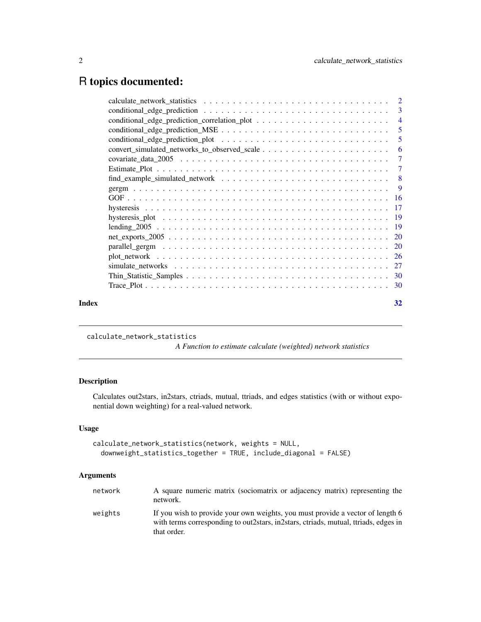## <span id="page-1-0"></span>R topics documented:

|       | $\overline{4}$ |
|-------|----------------|
|       |                |
|       | 5              |
|       | -6             |
|       |                |
|       |                |
|       |                |
|       | $\overline{9}$ |
|       |                |
|       |                |
|       |                |
|       |                |
|       |                |
|       |                |
|       |                |
|       |                |
|       |                |
|       |                |
| Index | 32             |
|       |                |

calculate\_network\_statistics

*A Function to estimate calculate (weighted) network statistics*

### Description

Calculates out2stars, in2stars, ctriads, mutual, ttriads, and edges statistics (with or without exponential down weighting) for a real-valued network.

### Usage

```
calculate_network_statistics(network, weights = NULL,
  downweight_statistics_together = TRUE, include_diagonal = FALSE)
```

| network | A square numeric matrix (sociomatrix or adjacency matrix) representing the<br>network.                                                                                                   |
|---------|------------------------------------------------------------------------------------------------------------------------------------------------------------------------------------------|
| weights | If you wish to provide your own weights, you must provide a vector of length 6<br>with terms corresponding to out 2 stars, in 2 stars, ctriads, mutual, ttriads, edges in<br>that order. |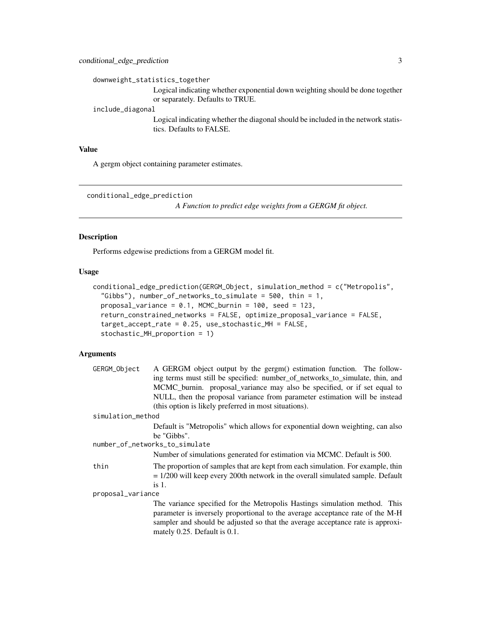<span id="page-2-0"></span>downweight\_statistics\_together

Logical indicating whether exponential down weighting should be done together or separately. Defaults to TRUE.

include\_diagonal

Logical indicating whether the diagonal should be included in the network statistics. Defaults to FALSE.

#### Value

A gergm object containing parameter estimates.

```
conditional_edge_prediction
```
*A Function to predict edge weights from a GERGM fit object.*

#### Description

Performs edgewise predictions from a GERGM model fit.

### Usage

```
conditional_edge_prediction(GERGM_Object, simulation_method = c("Metropolis",
  "Gibbs"), number_of_networks_to_simulate = 500, thin = 1,
  proposal_variance = 0.1, MCMC_burnin = 100, seed = 123,
  return_constrained_networks = FALSE, optimize_proposal_variance = FALSE,
  target_accept_rate = 0.25, use_stochastic_MH = FALSE,
  stochastic_MH_proportion = 1)
```

| GERGM_Object      | A GERGM object output by the gergm() estimation function. The follow-            |
|-------------------|----------------------------------------------------------------------------------|
|                   | ing terms must still be specified: number_of_networks_to_simulate, thin, and     |
|                   | MCMC_burnin. proposal_variance may also be specified, or if set equal to         |
|                   | NULL, then the proposal variance from parameter estimation will be instead       |
|                   | (this option is likely preferred in most situations).                            |
| simulation_method |                                                                                  |
|                   | Default is "Metropolis" which allows for exponential down weighting, can also    |
|                   | be "Gibbs".                                                                      |
|                   | number_of_networks_to_simulate                                                   |
|                   | Number of simulations generated for estimation via MCMC. Default is 500.         |
| thin              | The proportion of samples that are kept from each simulation. For example, thin  |
|                   | $= 1/200$ will keep every 200th network in the overall simulated sample. Default |
|                   | is $1$ .                                                                         |
| proposal_variance |                                                                                  |
|                   | The variance specified for the Metropolis Hastings simulation method. This       |
|                   | parameter is inversely proportional to the average acceptance rate of the M-H    |
|                   | sampler and should be adjusted so that the average acceptance rate is approxi-   |
|                   | mately 0.25. Default is 0.1.                                                     |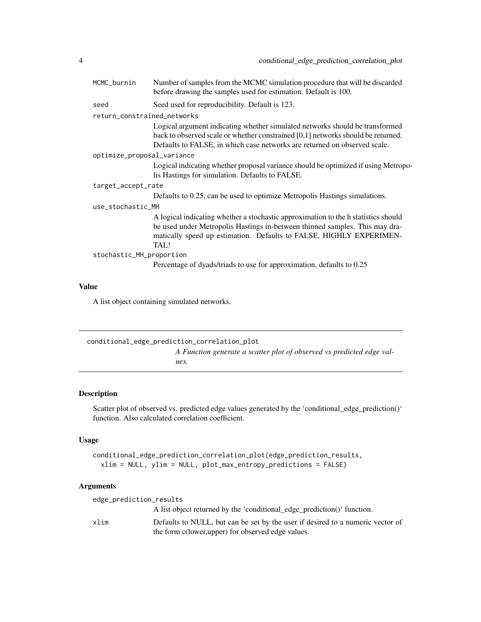<span id="page-3-0"></span>

| MCMC_burnin                 | Number of samples from the MCMC simulation procedure that will be discarded<br>before drawing the samples used for estimation. Default is 100.                                                                                                   |  |
|-----------------------------|--------------------------------------------------------------------------------------------------------------------------------------------------------------------------------------------------------------------------------------------------|--|
| seed                        | Seed used for reproducibility. Default is 123.                                                                                                                                                                                                   |  |
| return_constrained_networks |                                                                                                                                                                                                                                                  |  |
|                             | Logical argument indicating whether simulated networks should be transformed<br>back to observed scale or whether constrained $[0,1]$ networks should be returned.<br>Defaults to FALSE, in which case networks are returned on observed scale.  |  |
| optimize_proposal_variance  |                                                                                                                                                                                                                                                  |  |
|                             | Logical indicating whether proposal variance should be optimized if using Metropo-<br>lis Hastings for simulation. Defaults to FALSE.                                                                                                            |  |
| target_accept_rate          |                                                                                                                                                                                                                                                  |  |
|                             | Defaults to 0.25, can be used to optimize Metropolis Hastings simulations.                                                                                                                                                                       |  |
| use_stochastic_MH           |                                                                                                                                                                                                                                                  |  |
|                             | A logical indicating whether a stochastic approximation to the h statistics should<br>be used under Metropolis Hastings in-between thinned samples. This may dra-<br>matically speed up estimation. Defaults to FALSE. HIGHLY EXPERIMEN-<br>TAL! |  |
| stochastic_MH_proportion    |                                                                                                                                                                                                                                                  |  |
|                             | Percentage of dyads/triads to use for approximation, defaults to 0.25                                                                                                                                                                            |  |

### Value

A list object containing simulated networks.

| conditional_edge_prediction_correlation_plot                          |
|-----------------------------------------------------------------------|
| A Function generate a scatter plot of observed vs predicted edge val- |
| ues.                                                                  |

### Description

Scatter plot of observed vs. predicted edge values generated by the 'conditional\_edge\_prediction()' function. Also calculated correlation coefficient.

### Usage

```
conditional_edge_prediction_correlation_plot(edge_prediction_results,
 xlim = NULL, ylim = NULL, plot_max_entropy_predictions = FALSE)
```

| edge_prediction_results |                                                                                                                                      |
|-------------------------|--------------------------------------------------------------------------------------------------------------------------------------|
|                         | A list object returned by the 'conditional_edge_prediction()' function.                                                              |
| xlim                    | Defaults to NULL, but can be set by the user if desired to a numeric vector of<br>the form c(lower, upper) for observed edge values. |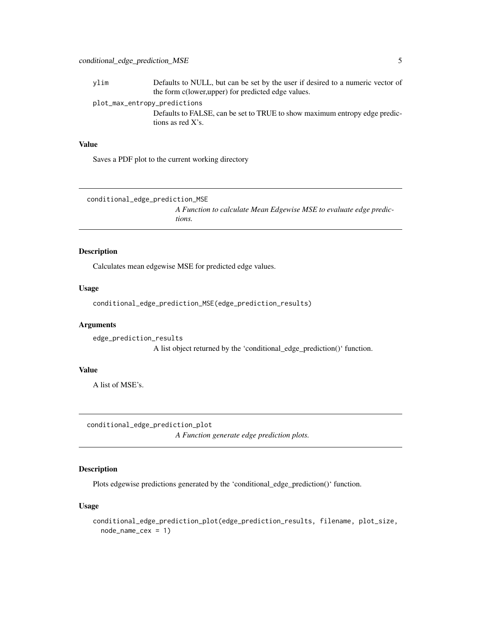<span id="page-4-0"></span>ylim Defaults to NULL, but can be set by the user if desired to a numeric vector of the form c(lower,upper) for predicted edge values. plot\_max\_entropy\_predictions Defaults to FALSE, can be set to TRUE to show maximum entropy edge predic-

tions as red X's.

### Value

Saves a PDF plot to the current working directory

conditional\_edge\_prediction\_MSE *A Function to calculate Mean Edgewise MSE to evaluate edge predictions.*

### Description

Calculates mean edgewise MSE for predicted edge values.

#### Usage

conditional\_edge\_prediction\_MSE(edge\_prediction\_results)

#### Arguments

edge\_prediction\_results A list object returned by the 'conditional\_edge\_prediction()' function.

### Value

A list of MSE's.

conditional\_edge\_prediction\_plot *A Function generate edge prediction plots.*

### Description

Plots edgewise predictions generated by the 'conditional\_edge\_prediction()' function.

### Usage

```
conditional_edge_prediction_plot(edge_prediction_results, filename, plot_size,
  node_name_cex = 1)
```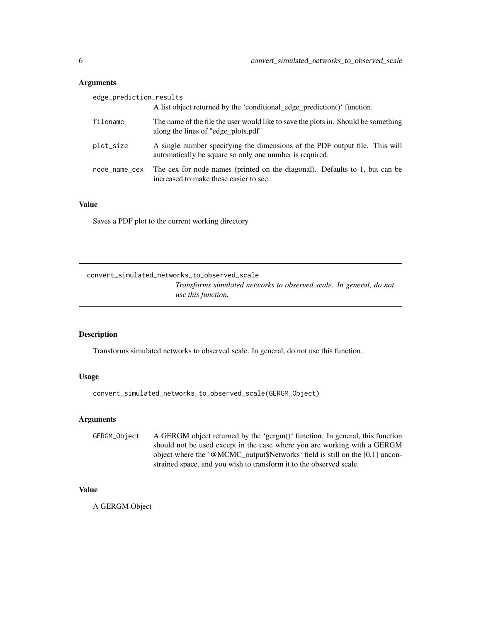### <span id="page-5-0"></span>Arguments

| edge_prediction_results |                                                                                                                                        |  |
|-------------------------|----------------------------------------------------------------------------------------------------------------------------------------|--|
|                         | A list object returned by the 'conditional_edge_prediction()' function.                                                                |  |
| filename                | The name of the file the user would like to save the plots in. Should be something<br>along the lines of "edge_plots.pdf"              |  |
| plot_size               | A single number specifying the dimensions of the PDF output file. This will<br>automatically be square so only one number is required. |  |
| node_name_cex           | The cex for node names (printed on the diagonal). Defaults to 1, but can be<br>increased to make these easier to see.                  |  |

### Value

Saves a PDF plot to the current working directory

convert\_simulated\_networks\_to\_observed\_scale

*Transforms simulated networks to observed scale. In general, do not use this function.*

### Description

Transforms simulated networks to observed scale. In general, do not use this function.

#### Usage

convert\_simulated\_networks\_to\_observed\_scale(GERGM\_Object)

### Arguments

GERGM\_Object A GERGM object returned by the 'gergm()' function. In general, this function should not be used except in the case where you are working with a GERGM object where the '@MCMC\_output\$Networks' field is still on the [0,1] unconstrained space, and you wish to transform it to the observed scale.

### Value

A GERGM Object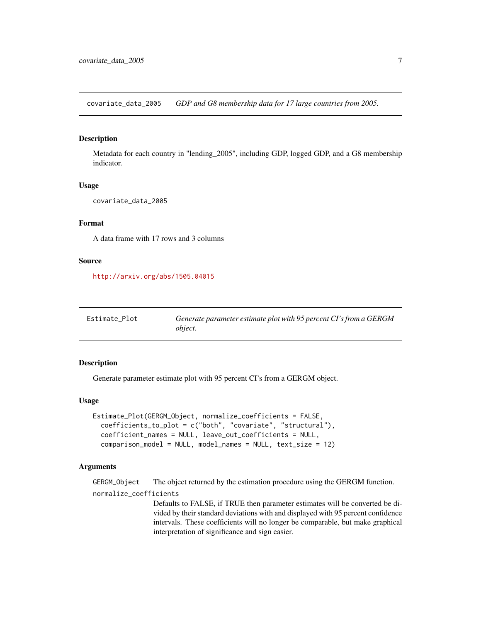<span id="page-6-0"></span>covariate\_data\_2005 *GDP and G8 membership data for 17 large countries from 2005.*

### Description

Metadata for each country in "lending\_2005", including GDP, logged GDP, and a G8 membership indicator.

### Usage

```
covariate_data_2005
```
### Format

A data frame with 17 rows and 3 columns

#### Source

<http://arxiv.org/abs/1505.04015>

| Estimate Plot | Generate parameter estimate plot with 95 percent CI's from a GERGM |
|---------------|--------------------------------------------------------------------|
|               | <i>object.</i>                                                     |

### Description

Generate parameter estimate plot with 95 percent CI's from a GERGM object.

### Usage

```
Estimate_Plot(GERGM_Object, normalize_coefficients = FALSE,
  coefficients_to_plot = c("both", "covariate", "structural"),
  coefficient_names = NULL, leave_out_coefficients = NULL,
  comparison_model = NULL, model_names = NULL, text_size = 12)
```
### Arguments

GERGM\_Object The object returned by the estimation procedure using the GERGM function.

normalize\_coefficients

Defaults to FALSE, if TRUE then parameter estimates will be converted be divided by their standard deviations with and displayed with 95 percent confidence intervals. These coefficients will no longer be comparable, but make graphical interpretation of significance and sign easier.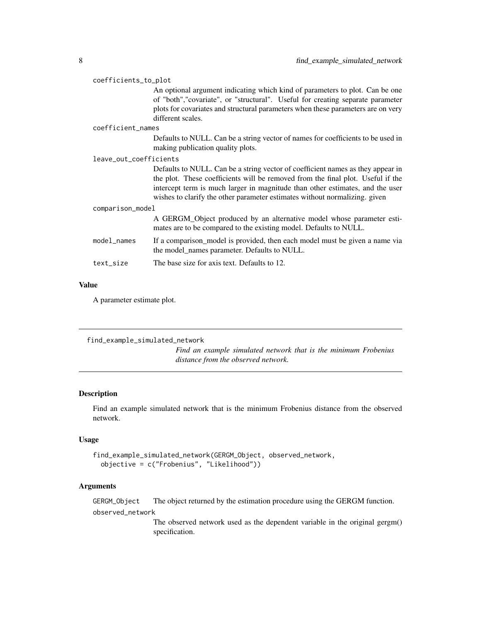<span id="page-7-0"></span>

| coefficients_to_plot   |                                                                                                                                                                                                                                                                                                                                   |  |
|------------------------|-----------------------------------------------------------------------------------------------------------------------------------------------------------------------------------------------------------------------------------------------------------------------------------------------------------------------------------|--|
|                        | An optional argument indicating which kind of parameters to plot. Can be one<br>of "both","covariate", or "structural". Useful for creating separate parameter<br>plots for covariates and structural parameters when these parameters are on very<br>different scales.                                                           |  |
| coefficient_names      |                                                                                                                                                                                                                                                                                                                                   |  |
|                        | Defaults to NULL. Can be a string vector of names for coefficients to be used in<br>making publication quality plots.                                                                                                                                                                                                             |  |
| leave_out_coefficients |                                                                                                                                                                                                                                                                                                                                   |  |
|                        | Defaults to NULL. Can be a string vector of coefficient names as they appear in<br>the plot. These coefficients will be removed from the final plot. Useful if the<br>intercept term is much larger in magnitude than other estimates, and the user<br>wishes to clarify the other parameter estimates without normalizing, given |  |
| comparison_model       |                                                                                                                                                                                                                                                                                                                                   |  |
|                        | A GERGM_Object produced by an alternative model whose parameter esti-<br>mates are to be compared to the existing model. Defaults to NULL.                                                                                                                                                                                        |  |
| model_names            | If a comparison model is provided, then each model must be given a name via<br>the model_names parameter. Defaults to NULL.                                                                                                                                                                                                       |  |
| text_size              | The base size for axis text. Defaults to 12.                                                                                                                                                                                                                                                                                      |  |

### Value

A parameter estimate plot.

find\_example\_simulated\_network *Find an example simulated network that is the minimum Frobenius distance from the observed network.*

### Description

Find an example simulated network that is the minimum Frobenius distance from the observed network.

### Usage

```
find_example_simulated_network(GERGM_Object, observed_network,
 objective = c("Frobenius", "Likelihood"))
```
### Arguments

GERGM\_Object The object returned by the estimation procedure using the GERGM function.

observed\_network

The observed network used as the dependent variable in the original gergm() specification.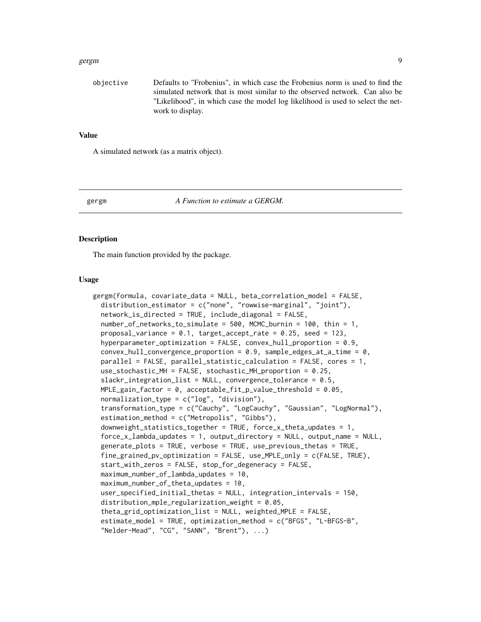#### <span id="page-8-0"></span>gergm 30 and 2012 and 2012 and 2012 and 2012 and 2012 and 2012 and 2012 and 2012 and 2012 and 2012 and 2012 an

objective Defaults to "Frobenius", in which case the Frobenius norm is used to find the simulated network that is most similar to the observed network. Can also be "Likelihood", in which case the model log likelihood is used to select the network to display.

#### Value

A simulated network (as a matrix object).

#### gergm *A Function to estimate a GERGM.*

#### **Description**

The main function provided by the package.

#### Usage

```
gergm(formula, covariate_data = NULL, beta_correlation_model = FALSE,
  distribution_estimator = c("none", "rowwise-marginal", "joint"),
  network_is_directed = TRUE, include_diagonal = FALSE,
  number_of_networks_to_simulate = 500, MCMC_burnin = 100, thin = 1,
  proposal_variance = 0.1, target_accept_rate = 0.25, seed = 123,
  hyperparameter_optimization = FALSE, convex_hull_proportion = 0.9,
  convex_hull_convergence_proportion = 0.9, sample_edges_at_a_time = 0,
  parallel = FALSE, parallel_statistic_calculation = FALSE, cores = 1,
  use_stochastic_MH = FALSE, stochastic_MH_proportion = 0.25,
  slackr_integration_list = NULL, convergence_tolerance = 0.5,
  MPLE_gain_factor = 0, acceptable_fit_p_value_threshold = 0.05,
  normalization_type = c("log", "division"),transformation_type = c("Cauchy", "LogCauchy", "Gaussian", "LogNormal"),
  estimation_method = c("Metropolis", "Gibbs"),
  downweight_statistics_together = TRUE, force_x_theta_updates = 1,
  force_x_lambda_updates = 1, output_directory = NULL, output_name = NULL,
  generate_plots = TRUE, verbose = TRUE, use_previous_thetas = TRUE,
  fine\_grained\_pv\_optimization = FALSE, use\_MPLE\_only = c(FALSE, TRUE).start_with_zeros = FALSE, stop_for_degeneracy = FALSE,
  maximum_number_of_lambda_updates = 10,
 maximum_number_of_theta_updates = 10,
  user_specified_initial_thetas = NULL, integration_intervals = 150,
  distribution_mple_regularization_weight = 0.05,
  theta_grid_optimization_list = NULL, weighted_MPLE = FALSE,
  estimate_model = TRUE, optimization_method = c("BFGS", "L-BFGS-B",
  "Nelder-Mead", "CG", "SANN", "Brent"), ...)
```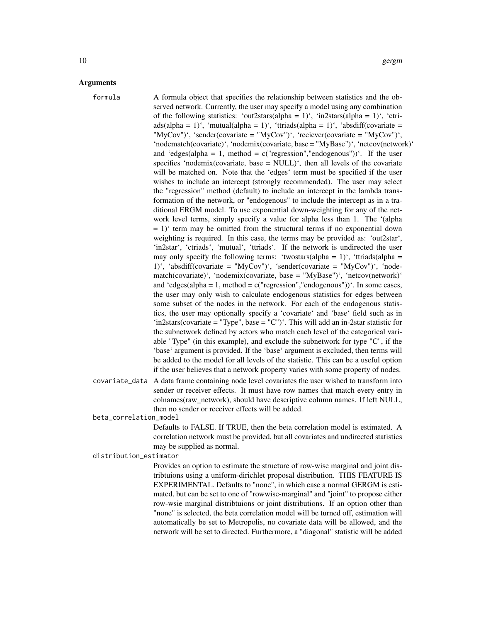### Arguments

formula A formula object that specifies the relationship between statistics and the observed network. Currently, the user may specify a model using any combination of the following statistics: 'out2stars(alpha = 1)', 'in2stars(alpha = 1)', 'ctri $ads(alpha = 1)$ <sup>'</sup>, 'mutual(alpha = 1)<sup>'</sup>, 'ttriads(alpha = 1)<sup>'</sup>, 'absdiff(covariate = "MyCov")', 'sender(covariate = "MyCov")', 'reciever(covariate = "MyCov")', 'nodematch(covariate)', 'nodemix(covariate, base = "MyBase")', 'netcov(network)' and 'edges(alpha = 1, method =  $c$ ("regression","endogenous")). If the user specifies 'nodemix(covariate, base  $=$  NULL)', then all levels of the covariate will be matched on. Note that the 'edges' term must be specified if the user wishes to include an intercept (strongly recommended). The user may select the "regression" method (default) to include an intercept in the lambda transformation of the network, or "endogenous" to include the intercept as in a traditional ERGM model. To use exponential down-weighting for any of the network level terms, simply specify a value for alpha less than 1. The '(alpha  $= 1$ )' term may be omitted from the structural terms if no exponential down weighting is required. In this case, the terms may be provided as: 'out2star', 'in2star', 'ctriads', 'mutual', 'ttriads'. If the network is undirected the user may only specify the following terms: 'twostars(alpha = 1)', 'ttriads(alpha = 1)', 'absdiff(covariate = "MyCov")', 'sender(covariate = "MyCov")', 'nodematch(covariate)', 'nodemix(covariate, base = "MyBase")', 'netcov(network)' and 'edges(alpha = 1, method =  $c("regression", "endogenous"))$ '. In some cases, the user may only wish to calculate endogenous statistics for edges between some subset of the nodes in the network. For each of the endogenous statistics, the user may optionally specify a 'covariate' and 'base' field such as in 'in2stars(covariate = "Type", base = "C")'. This will add an in-2star statistic for the subnetwork defined by actors who match each level of the categorical variable "Type" (in this example), and exclude the subnetwork for type "C", if the 'base' argument is provided. If the 'base' argument is excluded, then terms will be added to the model for all levels of the statistic. This can be a useful option if the user believes that a network property varies with some property of nodes.

covariate\_data A data frame containing node level covariates the user wished to transform into sender or receiver effects. It must have row names that match every entry in colnames(raw\_network), should have descriptive column names. If left NULL, then no sender or receiver effects will be added.

beta\_correlation\_model

Defaults to FALSE. If TRUE, then the beta correlation model is estimated. A correlation network must be provided, but all covariates and undirected statistics may be supplied as normal.

distribution\_estimator

Provides an option to estimate the structure of row-wise marginal and joint distribtuions using a uniform-dirichlet proposal distribution. THIS FEATURE IS EXPERIMENTAL. Defaults to "none", in which case a normal GERGM is estimated, but can be set to one of "rowwise-marginal" and "joint" to propose either row-wsie marginal distribtuions or joint distributions. If an option other than "none" is selected, the beta correlation model will be turned off, estimation will automatically be set to Metropolis, no covariate data will be allowed, and the network will be set to directed. Furthermore, a "diagonal" statistic will be added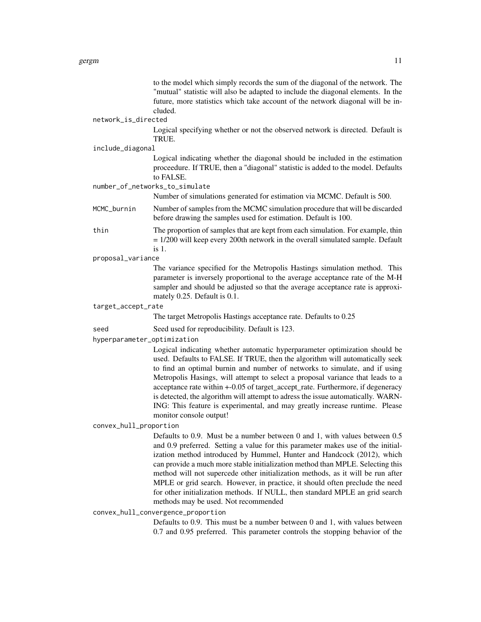to the model which simply records the sum of the diagonal of the network. The "mutual" statistic will also be adapted to include the diagonal elements. In the future, more statistics which take account of the network diagonal will be included.

#### network\_is\_directed

Logical specifying whether or not the observed network is directed. Default is TRUE.

#### include\_diagonal

Logical indicating whether the diagonal should be included in the estimation proceedure. If TRUE, then a "diagonal" statistic is added to the model. Defaults to FALSE.

### number\_of\_networks\_to\_simulate

Number of simulations generated for estimation via MCMC. Default is 500.

- MCMC\_burnin Number of samples from the MCMC simulation procedure that will be discarded before drawing the samples used for estimation. Default is 100.
- thin The proportion of samples that are kept from each simulation. For example, thin = 1/200 will keep every 200th network in the overall simulated sample. Default is 1.
- proposal\_variance

The variance specified for the Metropolis Hastings simulation method. This parameter is inversely proportional to the average acceptance rate of the M-H sampler and should be adjusted so that the average acceptance rate is approximately 0.25. Default is 0.1.

target\_accept\_rate

The target Metropolis Hastings acceptance rate. Defaults to 0.25

seed Seed used for reproducibility. Default is 123.

hyperparameter\_optimization

Logical indicating whether automatic hyperparameter optimization should be used. Defaults to FALSE. If TRUE, then the algorithm will automatically seek to find an optimal burnin and number of networks to simulate, and if using Metropolis Hasings, will attempt to select a proposal variance that leads to a acceptance rate within +-0.05 of target\_accept\_rate. Furthermore, if degeneracy is detected, the algorithm will attempt to adress the issue automatically. WARN-ING: This feature is experimental, and may greatly increase runtime. Please monitor console output!

convex\_hull\_proportion

Defaults to 0.9. Must be a number between 0 and 1, with values between 0.5 and 0.9 preferred. Setting a value for this parameter makes use of the initialization method introduced by Hummel, Hunter and Handcock (2012), which can provide a much more stable initialization method than MPLE. Selecting this method will not supercede other initialization methods, as it will be run after MPLE or grid search. However, in practice, it should often preclude the need for other initialization methods. If NULL, then standard MPLE an grid search methods may be used. Not recommended

#### convex\_hull\_convergence\_proportion

Defaults to 0.9. This must be a number between 0 and 1, with values between 0.7 and 0.95 preferred. This parameter controls the stopping behavior of the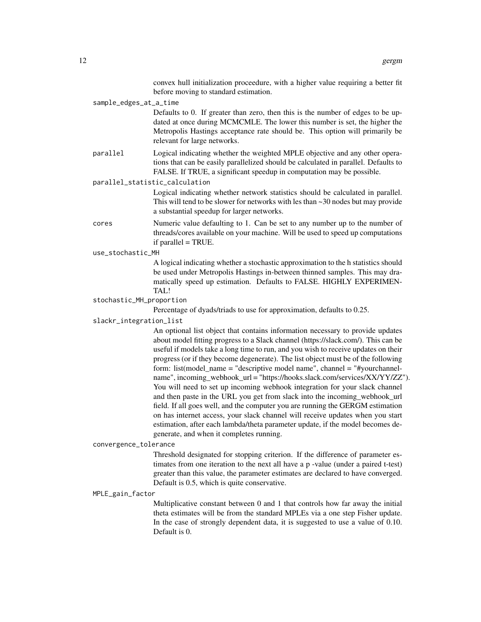convex hull initialization proceedure, with a higher value requiring a better fit before moving to standard estimation.

sample\_edges\_at\_a\_time

Defaults to 0. If greater than zero, then this is the number of edges to be updated at once during MCMCMLE. The lower this number is set, the higher the Metropolis Hastings acceptance rate should be. This option will primarily be relevant for large networks.

parallel Logical indicating whether the weighted MPLE objective and any other operations that can be easily parallelized should be calculated in parallel. Defaults to FALSE. If TRUE, a significant speedup in computation may be possible.

#### parallel\_statistic\_calculation

Logical indicating whether network statistics should be calculated in parallel. This will tend to be slower for networks with les than  $\sim$  30 nodes but may provide a substantial speedup for larger networks.

cores Numeric value defaulting to 1. Can be set to any number up to the number of threads/cores available on your machine. Will be used to speed up computations if parallel  $=$  TRUE.

use\_stochastic\_MH

A logical indicating whether a stochastic approximation to the h statistics should be used under Metropolis Hastings in-between thinned samples. This may dramatically speed up estimation. Defaults to FALSE. HIGHLY EXPERIMEN-TAL!

#### stochastic\_MH\_proportion

Percentage of dyads/triads to use for approximation, defaults to 0.25.

### slackr\_integration\_list

An optional list object that contains information necessary to provide updates about model fitting progress to a Slack channel (https://slack.com/). This can be useful if models take a long time to run, and you wish to receive updates on their progress (or if they become degenerate). The list object must be of the following form: list(model\_name = "descriptive model name", channel = "#yourchannelname", incoming\_webhook\_url = "https://hooks.slack.com/services/XX/YY/ZZ"). You will need to set up incoming webhook integration for your slack channel and then paste in the URL you get from slack into the incoming\_webhook\_url field. If all goes well, and the computer you are running the GERGM estimation on has internet access, your slack channel will receive updates when you start estimation, after each lambda/theta parameter update, if the model becomes degenerate, and when it completes running.

#### convergence\_tolerance

Threshold designated for stopping criterion. If the difference of parameter estimates from one iteration to the next all have a p -value (under a paired t-test) greater than this value, the parameter estimates are declared to have converged. Default is 0.5, which is quite conservative.

#### MPLE\_gain\_factor

Multiplicative constant between 0 and 1 that controls how far away the initial theta estimates will be from the standard MPLEs via a one step Fisher update. In the case of strongly dependent data, it is suggested to use a value of 0.10. Default is 0.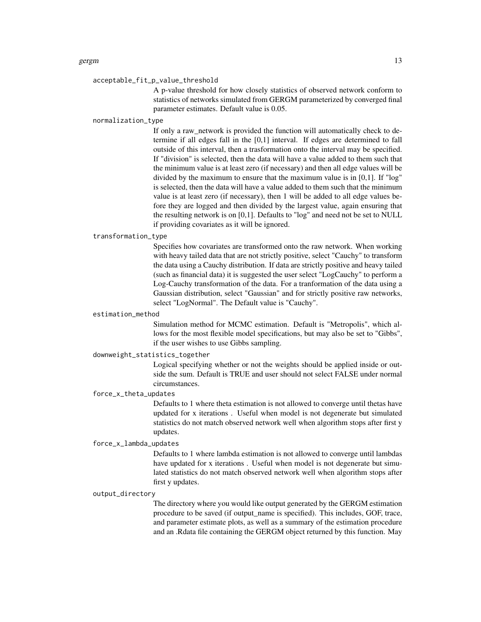#### acceptable\_fit\_p\_value\_threshold

A p-value threshold for how closely statistics of observed network conform to statistics of networks simulated from GERGM parameterized by converged final parameter estimates. Default value is 0.05.

### normalization\_type

If only a raw\_network is provided the function will automatically check to determine if all edges fall in the [0,1] interval. If edges are determined to fall outside of this interval, then a trasformation onto the interval may be specified. If "division" is selected, then the data will have a value added to them such that the minimum value is at least zero (if necessary) and then all edge values will be divided by the maximum to ensure that the maximum value is in [0,1]. If "log" is selected, then the data will have a value added to them such that the minimum value is at least zero (if necessary), then 1 will be added to all edge values before they are logged and then divided by the largest value, again ensuring that the resulting network is on [0,1]. Defaults to "log" and need not be set to NULL if providing covariates as it will be ignored.

#### transformation\_type

Specifies how covariates are transformed onto the raw network. When working with heavy tailed data that are not strictly positive, select "Cauchy" to transform the data using a Cauchy distribution. If data are strictly positive and heavy tailed (such as financial data) it is suggested the user select "LogCauchy" to perform a Log-Cauchy transformation of the data. For a tranformation of the data using a Gaussian distribution, select "Gaussian" and for strictly positive raw networks, select "LogNormal". The Default value is "Cauchy".

#### estimation\_method

Simulation method for MCMC estimation. Default is "Metropolis", which allows for the most flexible model specifications, but may also be set to "Gibbs", if the user wishes to use Gibbs sampling.

### downweight\_statistics\_together

Logical specifying whether or not the weights should be applied inside or outside the sum. Default is TRUE and user should not select FALSE under normal circumstances.

### force\_x\_theta\_updates

Defaults to 1 where theta estimation is not allowed to converge until thetas have updated for x iterations . Useful when model is not degenerate but simulated statistics do not match observed network well when algorithm stops after first y updates.

#### force\_x\_lambda\_updates

Defaults to 1 where lambda estimation is not allowed to converge until lambdas have updated for x iterations . Useful when model is not degenerate but simulated statistics do not match observed network well when algorithm stops after first y updates.

#### output\_directory

The directory where you would like output generated by the GERGM estimation procedure to be saved (if output\_name is specified). This includes, GOF, trace, and parameter estimate plots, as well as a summary of the estimation procedure and an .Rdata file containing the GERGM object returned by this function. May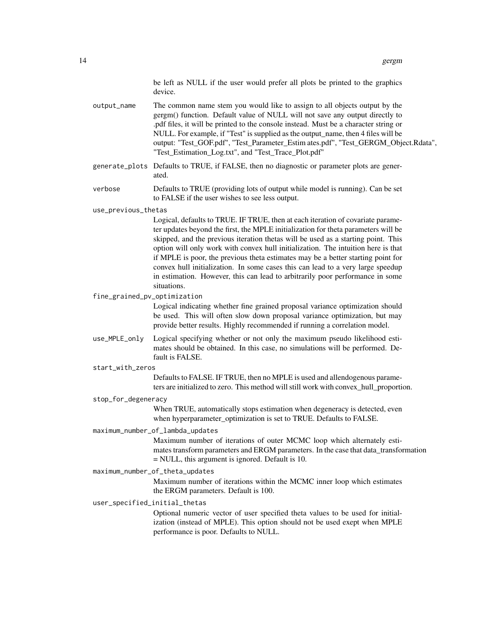be left as NULL if the user would prefer all plots be printed to the graphics device.

output\_name The common name stem you would like to assign to all objects output by the gergm() function. Default value of NULL will not save any output directly to .pdf files, it will be printed to the console instead. Must be a character string or NULL. For example, if "Test" is supplied as the output\_name, then 4 files will be output: "Test\_GOF.pdf", "Test\_Parameter\_Estim ates.pdf", "Test\_GERGM\_Object.Rdata", "Test\_Estimation\_Log.txt", and "Test\_Trace\_Plot.pdf"

generate\_plots Defaults to TRUE, if FALSE, then no diagnostic or parameter plots are generated.

verbose Defaults to TRUE (providing lots of output while model is running). Can be set to FALSE if the user wishes to see less output.

#### use\_previous\_thetas

Logical, defaults to TRUE. IF TRUE, then at each iteration of covariate parameter updates beyond the first, the MPLE initialization for theta parameters will be skipped, and the previous iteration thetas will be used as a starting point. This option will only work with convex hull initialization. The intuition here is that if MPLE is poor, the previous theta estimates may be a better starting point for convex hull initialization. In some cases this can lead to a very large speedup in estimation. However, this can lead to arbitrarily poor performance in some situations.

fine\_grained\_pv\_optimization

Logical indicating whether fine grained proposal variance optimization should be used. This will often slow down proposal variance optimization, but may provide better results. Highly recommended if running a correlation model.

- use\_MPLE\_only Logical specifying whether or not only the maximum pseudo likelihood estimates should be obtained. In this case, no simulations will be performed. Default is FALSE.
- start with zeros

Defaults to FALSE. IF TRUE, then no MPLE is used and allendogenous parameters are initialized to zero. This method will still work with convex\_hull\_proportion.

#### stop\_for\_degeneracy

When TRUE, automatically stops estimation when degeneracy is detected, even when hyperparameter\_optimization is set to TRUE. Defaults to FALSE.

#### maximum\_number\_of\_lambda\_updates

Maximum number of iterations of outer MCMC loop which alternately estimates transform parameters and ERGM parameters. In the case that data\_transformation = NULL, this argument is ignored. Default is 10.

#### maximum\_number\_of\_theta\_updates

Maximum number of iterations within the MCMC inner loop which estimates the ERGM parameters. Default is 100.

### user\_specified\_initial\_thetas

Optional numeric vector of user specified theta values to be used for initialization (instead of MPLE). This option should not be used exept when MPLE performance is poor. Defaults to NULL.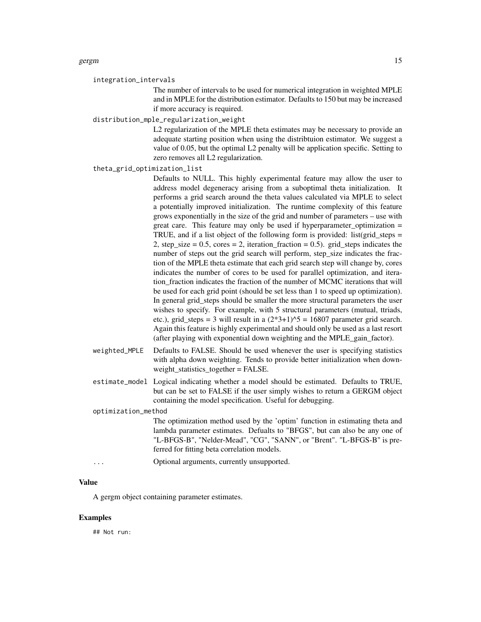#### integration\_intervals

The number of intervals to be used for numerical integration in weighted MPLE and in MPLE for the distribution estimator. Defaults to 150 but may be increased if more accuracy is required.

#### distribution\_mple\_regularization\_weight

L2 regularization of the MPLE theta estimates may be necessary to provide an adequate starting position when using the distribtuion estimator. We suggest a value of 0.05, but the optimal L2 penalty will be application specific. Setting to zero removes all L2 regularization.

#### theta\_grid\_optimization\_list

Defaults to NULL. This highly experimental feature may allow the user to address model degeneracy arising from a suboptimal theta initialization. It performs a grid search around the theta values calculated via MPLE to select a potentially improved initialization. The runtime complexity of this feature grows exponentially in the size of the grid and number of parameters – use with great care. This feature may only be used if hyperparameter optimization  $=$ TRUE, and if a list object of the following form is provided: list(grid steps  $=$ 2, step size  $= 0.5$ , cores  $= 2$ , iteration fraction  $= 0.5$ ). grid steps indicates the number of steps out the grid search will perform, step\_size indicates the fraction of the MPLE theta estimate that each grid search step will change by, cores indicates the number of cores to be used for parallel optimization, and iteration\_fraction indicates the fraction of the number of MCMC iterations that will be used for each grid point (should be set less than 1 to speed up optimization). In general grid\_steps should be smaller the more structural parameters the user wishes to specify. For example, with 5 structural parameters (mutual, ttriads, etc.), grid\_steps = 3 will result in a  $(2*3+1)\text{.}5 = 16807$  parameter grid search. Again this feature is highly experimental and should only be used as a last resort (after playing with exponential down weighting and the MPLE\_gain\_factor).

- weighted\_MPLE Defaults to FALSE. Should be used whenever the user is specifying statistics with alpha down weighting. Tends to provide better initialization when downweight statistics together = FALSE.
- estimate\_model Logical indicating whether a model should be estimated. Defaults to TRUE, but can be set to FALSE if the user simply wishes to return a GERGM object containing the model specification. Useful for debugging.

#### optimization\_method

The optimization method used by the 'optim' function in estimating theta and lambda parameter estimates. Defualts to "BFGS", but can also be any one of "L-BFGS-B", "Nelder-Mead", "CG", "SANN", or "Brent". "L-BFGS-B" is preferred for fitting beta correlation models.

... Optional arguments, currently unsupported.

### Value

A gergm object containing parameter estimates.

#### Examples

## Not run: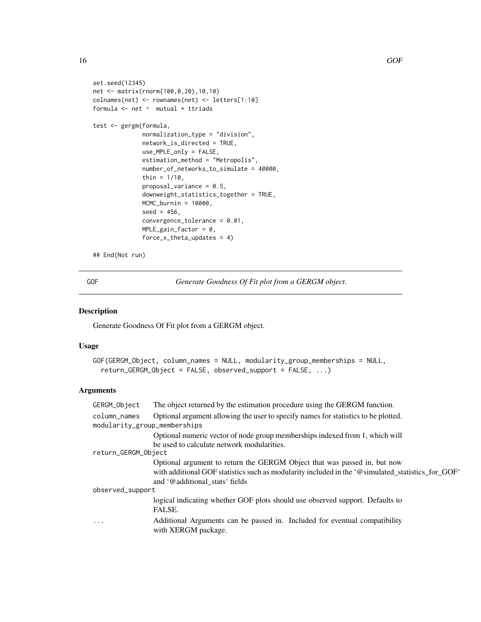```
set.seed(12345)
net <- matrix(rnorm(100,0,20),10,10)
colnames(net) <- rownames(net) <- letters[1:10]
formula <- net ~ mutual + ttriads
test <- gergm(formula,
              normalization_type = "division",
              network_is_directed = TRUE,
              use_MPLE_only = FALSE,
              estimation_method = "Metropolis",
              number_of_networks_to_simulate = 40000,
```

```
thin = 1/10,
proposal_variance = 0.5,
downweight_statistics_together = TRUE,
MCMC_burnin = 10000,
seed = 456,
convergence_tolerance = 0.01,
MPLE_gain_factor = 0,
```
force\_x\_theta\_updates = 4)

## End(Not run)

GOF *Generate Goodness Of Fit plot from a GERGM object.*

### Description

Generate Goodness Of Fit plot from a GERGM object.

### Usage

```
GOF(GERGM_Object, column_names = NULL, modularity_group_memberships = NULL,
  return_GERGM_Object = FALSE, observed_support = FALSE, ...)
```

| GERGM_Object                 | The object returned by the estimation procedure using the GERGM function.                         |
|------------------------------|---------------------------------------------------------------------------------------------------|
| column_names                 | Optional argument allowing the user to specify names for statistics to be plotted.                |
| modularity_group_memberships |                                                                                                   |
|                              | Optional numeric vector of node group memberships indexed from 1, which will                      |
|                              | be used to calculate network modularities.                                                        |
| return_GERGM_Object          |                                                                                                   |
|                              | Optional argument to return the GERGM Object that was passed in, but now                          |
|                              | with additional GOF statistics such as modularity included in the '@simulated_statistics_for_GOF' |
|                              | and '@additional stats' fields                                                                    |
| observed_support             |                                                                                                   |
|                              | logical indicating whether GOF plots should use observed support. Defaults to<br>FALSE.           |
| .                            | Additional Arguments can be passed in. Included for eventual compatibility<br>with XERGM package. |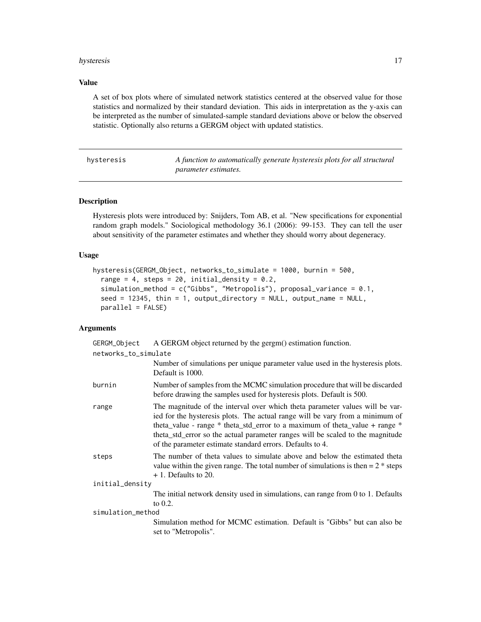#### <span id="page-16-0"></span>hysteresis and the set of the set of the set of the set of the set of the set of the set of the set of the set of the set of the set of the set of the set of the set of the set of the set of the set of the set of the set o

### Value

A set of box plots where of simulated network statistics centered at the observed value for those statistics and normalized by their standard deviation. This aids in interpretation as the y-axis can be interpreted as the number of simulated-sample standard deviations above or below the observed statistic. Optionally also returns a GERGM object with updated statistics.

hysteresis *A function to automatically generate hysteresis plots for all structural parameter estimates.*

### Description

Hysteresis plots were introduced by: Snijders, Tom AB, et al. "New specifications for exponential random graph models." Sociological methodology 36.1 (2006): 99-153. They can tell the user about sensitivity of the parameter estimates and whether they should worry about degeneracy.

### Usage

```
hysteresis(GERGM_Object, networks_to_simulate = 1000, burnin = 500,
  range = 4, steps = 20, initial_density = 0.2,
  simulation_method = c("Gibbs", "Metropolis"), proposal_variance = 0.1,
  seed = 12345, thin = 1, output_directory = NULL, output_name = NULL,
  parallel = FALSE)
```

| GERGM_Object         | A GERGM object returned by the gergm() estimation function.                                                                                                                                                                                                                                                                                                                                 |
|----------------------|---------------------------------------------------------------------------------------------------------------------------------------------------------------------------------------------------------------------------------------------------------------------------------------------------------------------------------------------------------------------------------------------|
| networks_to_simulate |                                                                                                                                                                                                                                                                                                                                                                                             |
|                      | Number of simulations per unique parameter value used in the hysteresis plots.<br>Default is 1000.                                                                                                                                                                                                                                                                                          |
| burnin               | Number of samples from the MCMC simulation procedure that will be discarded<br>before drawing the samples used for hysteresis plots. Default is 500.                                                                                                                                                                                                                                        |
| range                | The magnitude of the interval over which theta parameter values will be var-<br>ied for the hysteresis plots. The actual range will be vary from a minimum of<br>theta_value - range * theta_std_error to a maximum of theta_value + range *<br>theta_std_error so the actual parameter ranges will be scaled to the magnitude<br>of the parameter estimate standard errors. Defaults to 4. |
| steps                | The number of theta values to simulate above and below the estimated theta<br>value within the given range. The total number of simulations is then $= 2$ * steps<br>$+1$ . Defaults to 20.                                                                                                                                                                                                 |
| initial_density      |                                                                                                                                                                                                                                                                                                                                                                                             |
|                      | The initial network density used in simulations, can range from 0 to 1. Defaults<br>to $0.2$ .                                                                                                                                                                                                                                                                                              |
| simulation_method    |                                                                                                                                                                                                                                                                                                                                                                                             |
|                      | Simulation method for MCMC estimation. Default is "Gibbs" but can also be<br>set to "Metropolis".                                                                                                                                                                                                                                                                                           |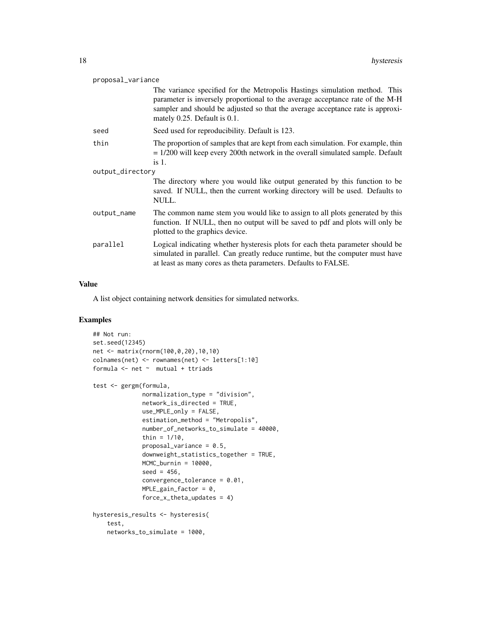| proposal_variance |                                                                                                                                                                                                                                                                               |  |
|-------------------|-------------------------------------------------------------------------------------------------------------------------------------------------------------------------------------------------------------------------------------------------------------------------------|--|
|                   | The variance specified for the Metropolis Hastings simulation method. This<br>parameter is inversely proportional to the average acceptance rate of the M-H<br>sampler and should be adjusted so that the average acceptance rate is approxi-<br>mately 0.25. Default is 0.1. |  |
| seed              | Seed used for reproducibility. Default is 123.                                                                                                                                                                                                                                |  |
| thin              | The proportion of samples that are kept from each simulation. For example, thin<br>$= 1/200$ will keep every 200th network in the overall simulated sample. Default<br>$is1$ .                                                                                                |  |
| output_directory  |                                                                                                                                                                                                                                                                               |  |
|                   | The directory where you would like output generated by this function to be<br>saved. If NULL, then the current working directory will be used. Defaults to<br>NULL.                                                                                                           |  |
| output_name       | The common name stem you would like to assign to all plots generated by this<br>function. If NULL, then no output will be saved to pdf and plots will only be<br>plotted to the graphics device.                                                                              |  |
| parallel          | Logical indicating whether hysteresis plots for each theta parameter should be<br>simulated in parallel. Can greatly reduce runtime, but the computer must have<br>at least as many cores as theta parameters. Defaults to FALSE.                                             |  |

#### Value

A list object containing network densities for simulated networks.

### Examples

```
## Not run:
set.seed(12345)
net <- matrix(rnorm(100,0,20),10,10)
colnames(net) <- rownames(net) <- letters[1:10]
formula \leq net \sim mutual + ttriads
test <- gergm(formula,
              normalization_type = "division",
              network_is_directed = TRUE,
              use_MPLE_only = FALSE,
              estimation_method = "Metropolis",
              number_of_networks_to_simulate = 40000,
              thin = 1/10,
              proposal_variance = 0.5,
              downweight_statistics_together = TRUE,
              MCMC_burnin = 10000,
              seed = 456,
              convergence_tolerance = 0.01,
              MPLE\_gain\_factor = 0,
              force_x_theta_updates = 4)
hysteresis_results <- hysteresis(
   test,
   networks_to_simulate = 1000,
```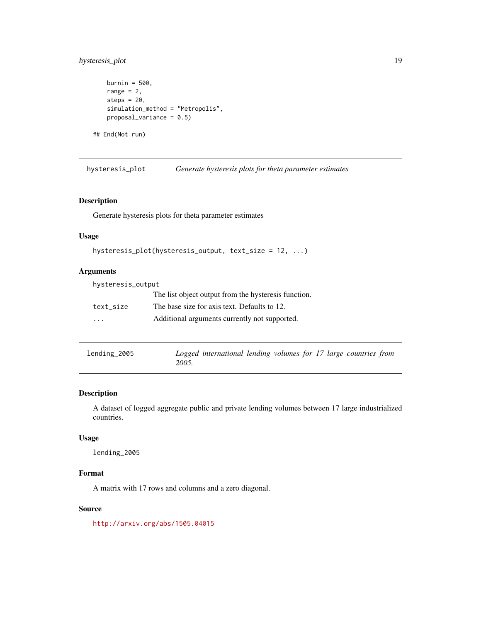### <span id="page-18-0"></span>hysteresis\_plot 19

```
burnin = 500,
range = 2,
steps = 20,
simulation_method = "Metropolis",
proposal_variance = 0.5)
```
## End(Not run)

hysteresis\_plot *Generate hysteresis plots for theta parameter estimates*

### Description

Generate hysteresis plots for theta parameter estimates

#### Usage

```
hysteresis_plot(hysteresis_output, text_size = 12, ...)
```
### Arguments

| hysteresis_output |                                                      |  |  |
|-------------------|------------------------------------------------------|--|--|
|                   | The list object output from the hysteresis function. |  |  |
| text size         | The base size for axis text. Defaults to 12.         |  |  |
| .                 | Additional arguments currently not supported.        |  |  |

| lending_2005 |       | Logged international lending volumes for 17 large countries from |  |  |  |  |
|--------------|-------|------------------------------------------------------------------|--|--|--|--|
|              | 2005. |                                                                  |  |  |  |  |

### Description

A dataset of logged aggregate public and private lending volumes between 17 large industrialized countries.

### Usage

lending\_2005

### Format

A matrix with 17 rows and columns and a zero diagonal.

#### Source

<http://arxiv.org/abs/1505.04015>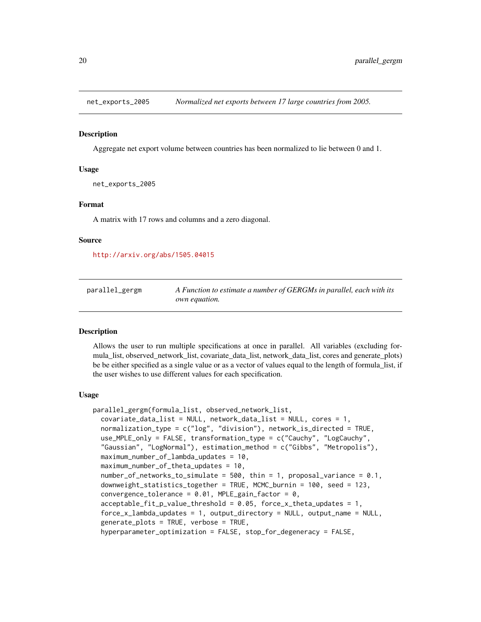<span id="page-19-0"></span>

#### Description

Aggregate net export volume between countries has been normalized to lie between 0 and 1.

#### Usage

net\_exports\_2005

### Format

A matrix with 17 rows and columns and a zero diagonal.

#### Source

<http://arxiv.org/abs/1505.04015>

parallel\_gergm *A Function to estimate a number of GERGMs in parallel, each with its own equation.*

#### Description

Allows the user to run multiple specifications at once in parallel. All variables (excluding formula\_list, observed\_network\_list, covariate\_data\_list, network\_data\_list, cores and generate\_plots) be be either specified as a single value or as a vector of values equal to the length of formula\_list, if the user wishes to use different values for each specification.

#### Usage

```
parallel_gergm(formula_list, observed_network_list,
  covariate_data_list = NULL, network_data_list = NULL, cores = 1,
  normalization_type = c("log", "division"), network_is_directed = TRUE,
  use_MPLE_only = FALSE, transformation_type = c("Cauchy", "LogCauchy",
  "Gaussian", "LogNormal"), estimation_method = c("Gibbs", "Metropolis"),
 maximum_number_of_lambda_updates = 10,
 maximum_number_of_theta_updates = 10,
  number_of_networks_to_simulate = 500, thin = 1, proposal_variance = 0.1,
  downweight_statistics_together = TRUE, MCMC_burnin = 100, seed = 123,
  convergence_tolerance = 0.01, MPLE_gain_factor = 0,
  acceltable_fit_p_value_threshold = 0.05, force_x_theta_update = 1,
  force_x_lambda_updates = 1, output_directory = NULL, output_name = NULL,
  generate_plots = TRUE, verbose = TRUE,
  hyperparameter_optimization = FALSE, stop_for_degeneracy = FALSE,
```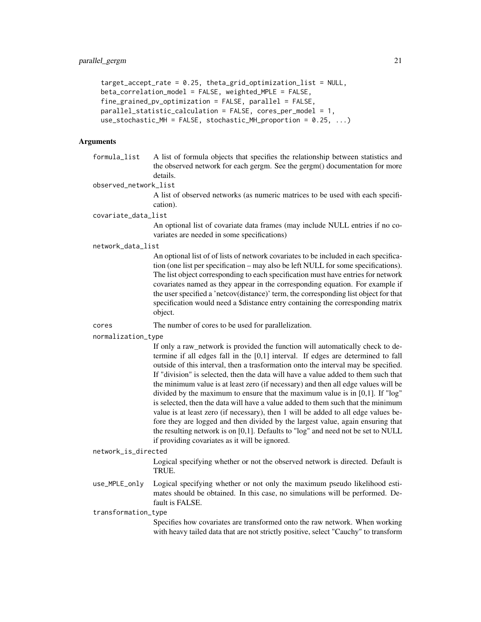```
target_accept_rate = 0.25, theta_grid_optimization_list = NULL,
beta_correlation_model = FALSE, weighted_MPLE = FALSE,
fine\_grained\_pv\_optimization = FALSE, parallel = FALSE,parallel_statistic_calculation = FALSE, cores_per_model = 1,
use_stochastic_MH = FALSE, stochastic_MH_proportion = 0.25, ...)
```
### Arguments

formula\_list A list of formula objects that specifies the relationship between statistics and the observed network for each gergm. See the gergm() documentation for more details.

observed\_network\_list

A list of observed networks (as numeric matrices to be used with each specification).

covariate\_data\_list

An optional list of covariate data frames (may include NULL entries if no covariates are needed in some specifications)

network\_data\_list

An optional list of of lists of network covariates to be included in each specification (one list per specification – may also be left NULL for some specifications). The list object corresponding to each specification must have entries for network covariates named as they appear in the corresponding equation. For example if the user specified a 'netcov(distance)' term, the corresponding list object for that specification would need a \$distance entry containing the corresponding matrix object.

- cores The number of cores to be used for parallelization.
- normalization\_type

If only a raw\_network is provided the function will automatically check to determine if all edges fall in the [0,1] interval. If edges are determined to fall outside of this interval, then a trasformation onto the interval may be specified. If "division" is selected, then the data will have a value added to them such that the minimum value is at least zero (if necessary) and then all edge values will be divided by the maximum to ensure that the maximum value is in [0,1]. If "log" is selected, then the data will have a value added to them such that the minimum value is at least zero (if necessary), then 1 will be added to all edge values before they are logged and then divided by the largest value, again ensuring that the resulting network is on [0,1]. Defaults to "log" and need not be set to NULL if providing covariates as it will be ignored.

#### network\_is\_directed

Logical specifying whether or not the observed network is directed. Default is TRUE.

use\_MPLE\_only Logical specifying whether or not only the maximum pseudo likelihood estimates should be obtained. In this case, no simulations will be performed. Default is FALSE.

transformation\_type

Specifies how covariates are transformed onto the raw network. When working with heavy tailed data that are not strictly positive, select "Cauchy" to transform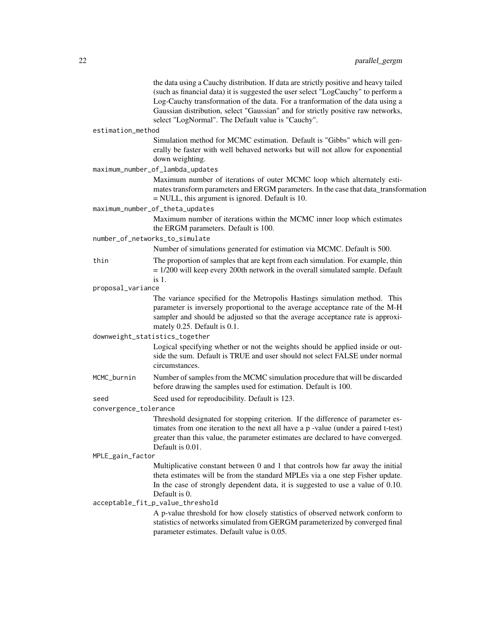|                       | the data using a Cauchy distribution. If data are strictly positive and heavy tailed<br>(such as financial data) it is suggested the user select "LogCauchy" to perform a<br>Log-Cauchy transformation of the data. For a tranformation of the data using a<br>Gaussian distribution, select "Gaussian" and for strictly positive raw networks,<br>select "LogNormal". The Default value is "Cauchy". |
|-----------------------|-------------------------------------------------------------------------------------------------------------------------------------------------------------------------------------------------------------------------------------------------------------------------------------------------------------------------------------------------------------------------------------------------------|
| estimation_method     |                                                                                                                                                                                                                                                                                                                                                                                                       |
|                       | Simulation method for MCMC estimation. Default is "Gibbs" which will gen-<br>erally be faster with well behaved networks but will not allow for exponential<br>down weighting.                                                                                                                                                                                                                        |
|                       | maximum_number_of_lambda_updates                                                                                                                                                                                                                                                                                                                                                                      |
|                       | Maximum number of iterations of outer MCMC loop which alternately esti-<br>mates transform parameters and ERGM parameters. In the case that data_transformation<br>$=$ NULL, this argument is ignored. Default is 10.                                                                                                                                                                                 |
|                       | maximum_number_of_theta_updates                                                                                                                                                                                                                                                                                                                                                                       |
|                       | Maximum number of iterations within the MCMC inner loop which estimates<br>the ERGM parameters. Default is 100.                                                                                                                                                                                                                                                                                       |
|                       | number_of_networks_to_simulate                                                                                                                                                                                                                                                                                                                                                                        |
|                       | Number of simulations generated for estimation via MCMC. Default is 500.                                                                                                                                                                                                                                                                                                                              |
| thin                  | The proportion of samples that are kept from each simulation. For example, thin<br>$= 1/200$ will keep every 200th network in the overall simulated sample. Default<br>$is1$ .                                                                                                                                                                                                                        |
| proposal_variance     |                                                                                                                                                                                                                                                                                                                                                                                                       |
|                       | The variance specified for the Metropolis Hastings simulation method. This<br>parameter is inversely proportional to the average acceptance rate of the M-H<br>sampler and should be adjusted so that the average acceptance rate is approxi-<br>mately 0.25. Default is 0.1.                                                                                                                         |
|                       | downweight_statistics_together                                                                                                                                                                                                                                                                                                                                                                        |
|                       | Logical specifying whether or not the weights should be applied inside or out-<br>side the sum. Default is TRUE and user should not select FALSE under normal<br>circumstances.                                                                                                                                                                                                                       |
| MCMC_burnin           | Number of samples from the MCMC simulation procedure that will be discarded<br>before drawing the samples used for estimation. Default is 100.                                                                                                                                                                                                                                                        |
| seed                  | Seed used for reproducibility. Default is 123.                                                                                                                                                                                                                                                                                                                                                        |
| convergence_tolerance |                                                                                                                                                                                                                                                                                                                                                                                                       |
|                       | Threshold designated for stopping criterion. If the difference of parameter es-<br>timates from one iteration to the next all have a p-value (under a paired t-test)<br>greater than this value, the parameter estimates are declared to have converged.<br>Default is 0.01.                                                                                                                          |
| MPLE_gain_factor      |                                                                                                                                                                                                                                                                                                                                                                                                       |
|                       | Multiplicative constant between 0 and 1 that controls how far away the initial<br>theta estimates will be from the standard MPLEs via a one step Fisher update.<br>In the case of strongly dependent data, it is suggested to use a value of 0.10.<br>Default is 0.<br>acceptable_fit_p_value_threshold                                                                                               |
|                       | A p-value threshold for how closely statistics of observed network conform to<br>statistics of networks simulated from GERGM parameterized by converged final<br>parameter estimates. Default value is 0.05.                                                                                                                                                                                          |
|                       |                                                                                                                                                                                                                                                                                                                                                                                                       |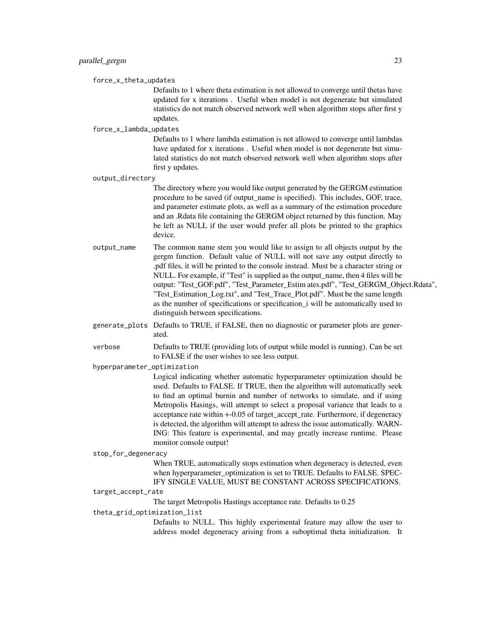force\_x\_theta\_updates

Defaults to 1 where theta estimation is not allowed to converge until thetas have updated for x iterations . Useful when model is not degenerate but simulated statistics do not match observed network well when algorithm stops after first y updates.

force\_x\_lambda\_updates

Defaults to 1 where lambda estimation is not allowed to converge until lambdas have updated for x iterations . Useful when model is not degenerate but simulated statistics do not match observed network well when algorithm stops after first y updates.

output\_directory

The directory where you would like output generated by the GERGM estimation procedure to be saved (if output\_name is specified). This includes, GOF, trace, and parameter estimate plots, as well as a summary of the estimation procedure and an .Rdata file containing the GERGM object returned by this function. May be left as NULL if the user would prefer all plots be printed to the graphics device.

- output\_name The common name stem you would like to assign to all objects output by the gergm function. Default value of NULL will not save any output directly to .pdf files, it will be printed to the console instead. Must be a character string or NULL. For example, if "Test" is supplied as the output\_name, then 4 files will be output: "Test\_GOF.pdf", "Test\_Parameter\_Estim ates.pdf", "Test\_GERGM\_Object.Rdata", "Test\_Estimation\_Log.txt", and "Test\_Trace\_Plot.pdf". Must be the same length as the number of specifications or specification\_i will be automatically used to distinguish between specifications.
- generate\_plots Defaults to TRUE, if FALSE, then no diagnostic or parameter plots are generated.
- verbose Defaults to TRUE (providing lots of output while model is running). Can be set to FALSE if the user wishes to see less output.

hyperparameter\_optimization

Logical indicating whether automatic hyperparameter optimization should be used. Defaults to FALSE. If TRUE, then the algorithm will automatically seek to find an optimal burnin and number of networks to simulate, and if using Metropolis Hasings, will attempt to select a proposal variance that leads to a acceptance rate within +-0.05 of target\_accept\_rate. Furthermore, if degeneracy is detected, the algorithm will attempt to adress the issue automatically. WARN-ING: This feature is experimental, and may greatly increase runtime. Please monitor console output!

stop\_for\_degeneracy

When TRUE, automatically stops estimation when degeneracy is detected, even when hyperparameter optimization is set to TRUE. Defaults to FALSE. SPEC-IFY SINGLE VALUE, MUST BE CONSTANT ACROSS SPECIFICATIONS.

#### target\_accept\_rate

The target Metropolis Hastings acceptance rate. Defaults to 0.25

theta\_grid\_optimization\_list

Defaults to NULL. This highly experimental feature may allow the user to address model degeneracy arising from a suboptimal theta initialization. It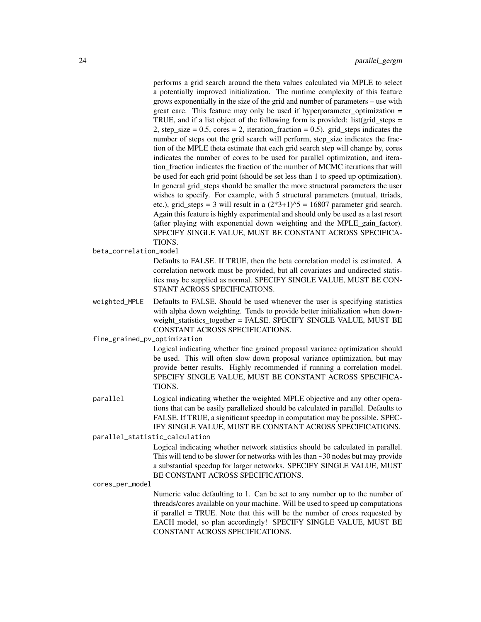performs a grid search around the theta values calculated via MPLE to select a potentially improved initialization. The runtime complexity of this feature grows exponentially in the size of the grid and number of parameters – use with great care. This feature may only be used if hyperparameter\_optimization = TRUE, and if a list object of the following form is provided: list(grid steps  $=$ 2, step\_size =  $0.5$ , cores = 2, iteration\_fraction =  $0.5$ ). grid\_steps indicates the number of steps out the grid search will perform, step\_size indicates the fraction of the MPLE theta estimate that each grid search step will change by, cores indicates the number of cores to be used for parallel optimization, and iteration fraction indicates the fraction of the number of MCMC iterations that will be used for each grid point (should be set less than 1 to speed up optimization). In general grid\_steps should be smaller the more structural parameters the user wishes to specify. For example, with 5 structural parameters (mutual, ttriads, etc.), grid\_steps = 3 will result in a  $(2*3+1)\text{\textdegree}5 = 16807$  parameter grid search. Again this feature is highly experimental and should only be used as a last resort (after playing with exponential down weighting and the MPLE\_gain\_factor). SPECIFY SINGLE VALUE, MUST BE CONSTANT ACROSS SPECIFICA-TIONS.

beta\_correlation\_model

Defaults to FALSE. If TRUE, then the beta correlation model is estimated. A correlation network must be provided, but all covariates and undirected statistics may be supplied as normal. SPECIFY SINGLE VALUE, MUST BE CON-STANT ACROSS SPECIFICATIONS.

weighted\_MPLE Defaults to FALSE. Should be used whenever the user is specifying statistics with alpha down weighting. Tends to provide better initialization when downweight\_statistics\_together = FALSE. SPECIFY SINGLE VALUE, MUST BE CONSTANT ACROSS SPECIFICATIONS.

fine\_grained\_pv\_optimization

Logical indicating whether fine grained proposal variance optimization should be used. This will often slow down proposal variance optimization, but may provide better results. Highly recommended if running a correlation model. SPECIFY SINGLE VALUE, MUST BE CONSTANT ACROSS SPECIFICA-TIONS.

parallel Logical indicating whether the weighted MPLE objective and any other operations that can be easily parallelized should be calculated in parallel. Defaults to FALSE. If TRUE, a significant speedup in computation may be possible. SPEC-IFY SINGLE VALUE, MUST BE CONSTANT ACROSS SPECIFICATIONS.

parallel\_statistic\_calculation

Logical indicating whether network statistics should be calculated in parallel. This will tend to be slower for networks with les than ~30 nodes but may provide a substantial speedup for larger networks. SPECIFY SINGLE VALUE, MUST BE CONSTANT ACROSS SPECIFICATIONS.

#### cores\_per\_model

Numeric value defaulting to 1. Can be set to any number up to the number of threads/cores available on your machine. Will be used to speed up computations if parallel = TRUE. Note that this will be the number of croes requested by EACH model, so plan accordingly! SPECIFY SINGLE VALUE, MUST BE CONSTANT ACROSS SPECIFICATIONS.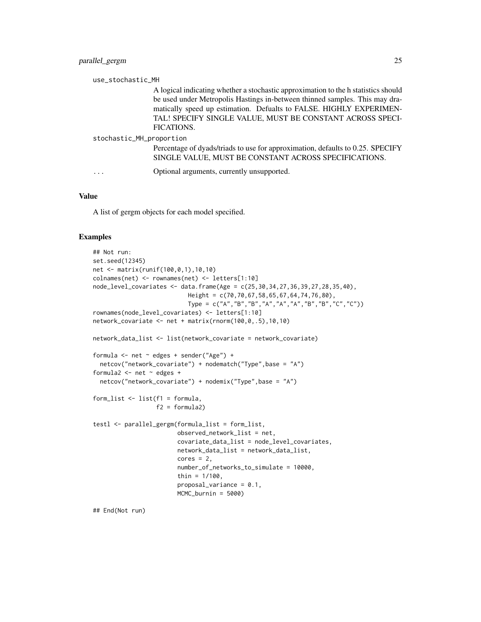|                          | use_stochastic_MH                                                                                                                                                                                                                                                                                                   |  |  |
|--------------------------|---------------------------------------------------------------------------------------------------------------------------------------------------------------------------------------------------------------------------------------------------------------------------------------------------------------------|--|--|
|                          | A logical indicating whether a stochastic approximation to the h statistics should<br>be used under Metropolis Hastings in-between thinned samples. This may dra-<br>matically speed up estimation. Defualts to FALSE. HIGHLY EXPERIMEN-<br>TAL! SPECIFY SINGLE VALUE, MUST BE CONSTANT ACROSS SPECI-<br>FICATIONS. |  |  |
| stochastic_MH_proportion |                                                                                                                                                                                                                                                                                                                     |  |  |
|                          | Percentage of dyads/triads to use for approximation, defaults to 0.25. SPECIFY<br>SINGLE VALUE, MUST BE CONSTANT ACROSS SPECIFICATIONS.                                                                                                                                                                             |  |  |
|                          | Optional arguments, currently unsupported.                                                                                                                                                                                                                                                                          |  |  |

#### Value

A list of gergm objects for each model specified.

#### Examples

```
## Not run:
set.seed(12345)
net <- matrix(runif(100,0,1),10,10)
colnames(net) <- rownames(net) <- letters[1:10]
node_level_covariates <- data.frame(Age = c(25,30,34,27,36,39,27,28,35,40),
                           Height = c(70,70,67,58,65,67,64,74,76,80),
                           Type = c("A","B","B","A","A","A","B","B","C","C"))
rownames(node_level_covariates) <- letters[1:10]
network_covariate <- net + matrix(rnorm(100,0,.5),10,10)
network_data_list <- list(network_covariate = network_covariate)
formula \leq net \sim edges + sender("Age") +
  netcov("network_covariate") + nodematch("Type",base = "A")
formula2 <- net \sim edges +
  netcov("network_covariate") + nodemix("Type",base = "A")
form_list <- list(f1 = formula,
                  f2 = formula2)
testl <- parallel_gergm(formula_list = form_list,
                        observed_network_list = net,
                        covariate_data_list = node_level_covariates,
                        network_data_list = network_data_list,
                        cores = 2,number_of_networks_to_simulate = 10000,
                        thin = 1/100,
                        proposal_variance = 0.1,
                        MCMC_burnin = 5000)
```
## End(Not run)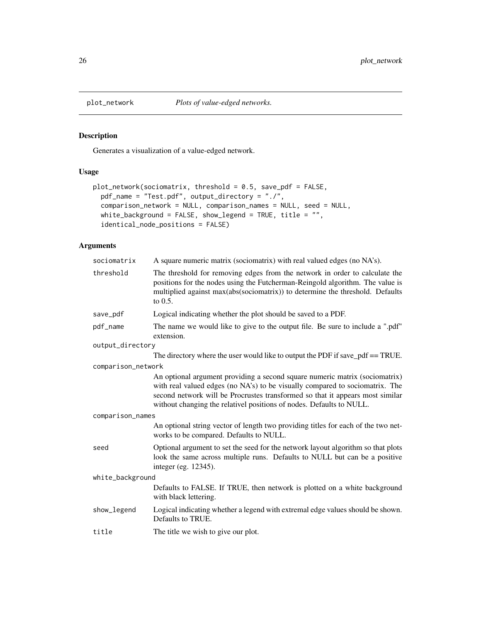<span id="page-25-0"></span>

### Description

Generates a visualization of a value-edged network.

### Usage

```
plot_network(sociomatrix, threshold = 0.5, save_pdf = FALSE,
 pdf_name = "Test.pdf", output_directory = "./",
  comparison_network = NULL, comparison_names = NULL, seed = NULL,
 white_background = FALSE, show_legend = TRUE, title = "",
  identical_node_positions = FALSE)
```

| sociomatrix        | A square numeric matrix (sociomatrix) with real valued edges (no NA's).                                                                                                                                                                                                                                              |  |
|--------------------|----------------------------------------------------------------------------------------------------------------------------------------------------------------------------------------------------------------------------------------------------------------------------------------------------------------------|--|
| threshold          | The threshold for removing edges from the network in order to calculate the<br>positions for the nodes using the Futcherman-Reingold algorithm. The value is<br>multiplied against max(abs(sociomatrix)) to determine the threshold. Defaults<br>to $0.5$ .                                                          |  |
| save_pdf           | Logical indicating whether the plot should be saved to a PDF.                                                                                                                                                                                                                                                        |  |
| pdf_name           | The name we would like to give to the output file. Be sure to include a ".pdf"<br>extension.                                                                                                                                                                                                                         |  |
| output_directory   |                                                                                                                                                                                                                                                                                                                      |  |
|                    | The directory where the user would like to output the PDF if save_pdf $==$ TRUE.                                                                                                                                                                                                                                     |  |
| comparison_network |                                                                                                                                                                                                                                                                                                                      |  |
|                    | An optional argument providing a second square numeric matrix (sociomatrix)<br>with real valued edges (no NA's) to be visually compared to sociomatrix. The<br>second network will be Procrustes transformed so that it appears most similar<br>without changing the relativel positions of nodes. Defaults to NULL. |  |
| comparison_names   |                                                                                                                                                                                                                                                                                                                      |  |
|                    | An optional string vector of length two providing titles for each of the two net-<br>works to be compared. Defaults to NULL.                                                                                                                                                                                         |  |
| seed               | Optional argument to set the seed for the network layout algorithm so that plots<br>look the same across multiple runs. Defaults to NULL but can be a positive<br>integer (eg. 12345).                                                                                                                               |  |
| white_background   |                                                                                                                                                                                                                                                                                                                      |  |
|                    | Defaults to FALSE. If TRUE, then network is plotted on a white background<br>with black lettering.                                                                                                                                                                                                                   |  |
| show_legend        | Logical indicating whether a legend with extremal edge values should be shown.<br>Defaults to TRUE.                                                                                                                                                                                                                  |  |
| title              | The title we wish to give our plot.                                                                                                                                                                                                                                                                                  |  |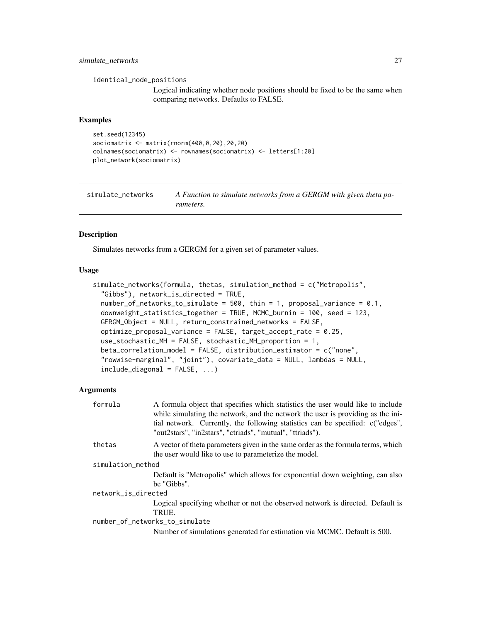### <span id="page-26-0"></span>simulate\_networks 27

identical\_node\_positions

Logical indicating whether node positions should be fixed to be the same when comparing networks. Defaults to FALSE.

#### Examples

```
set.seed(12345)
sociomatrix <- matrix(rnorm(400,0,20),20,20)
colnames(sociomatrix) <- rownames(sociomatrix) <- letters[1:20]
plot_network(sociomatrix)
```

| simulate networks | A Function to simulate networks from a GERGM with given theta pa- |
|-------------------|-------------------------------------------------------------------|
|                   | <i>rameters.</i>                                                  |

#### Description

Simulates networks from a GERGM for a given set of parameter values.

#### Usage

```
simulate_networks(formula, thetas, simulation_method = c("Metropolis",
  "Gibbs"), network_is_directed = TRUE,
  number_of_networks_to_simulate = 500, thin = 1, proposal_variance = 0.1,
  downweight_statistics_together = TRUE, MCMC_burnin = 100, seed = 123,
  GERGM_Object = NULL, return_constrained_networks = FALSE,
  optimize_proposal_variance = FALSE, target_accept_rate = 0.25,
  use_stochastic_MH = FALSE, stochastic_MH_proportion = 1,
 beta_correlation_model = FALSE, distribution_estimator = c("none",
  "rowwise-marginal", "joint"), covariate_data = NULL, lambdas = NULL,
  include\_diagonal = FALSE, ...
```

| formula             | A formula object that specifies which statistics the user would like to include<br>while simulating the network, and the network the user is providing as the ini- |
|---------------------|--------------------------------------------------------------------------------------------------------------------------------------------------------------------|
|                     | tial network. Currently, the following statistics can be specified: c("edges",<br>"out2stars", "in2stars", "ctriads", "mutual", "ttriads").                        |
| thetas              | A vector of theta parameters given in the same order as the formula terms, which<br>the user would like to use to parameterize the model.                          |
| simulation_method   |                                                                                                                                                                    |
|                     | Default is "Metropolis" which allows for exponential down weighting, can also<br>be "Gibbs".                                                                       |
| network_is_directed |                                                                                                                                                                    |
|                     | Logical specifying whether or not the observed network is directed. Default is<br>TRUE.                                                                            |
|                     | number_of_networks_to_simulate                                                                                                                                     |
|                     | Number of simulations generated for estimation via MCMC. Default is 500.                                                                                           |
|                     |                                                                                                                                                                    |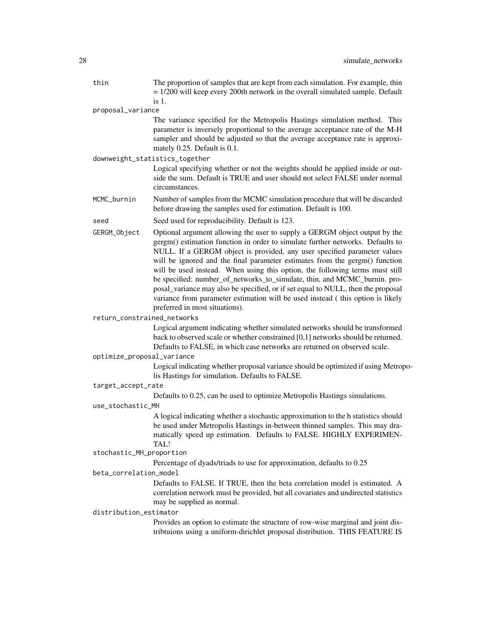| thin                     | The proportion of samples that are kept from each simulation. For example, thin<br>$= 1/200$ will keep every 200th network in the overall simulated sample. Default<br>$is1$ .                                                                                                                                                                                                                                                                                                                                                                                                                                                                                                               |  |  |
|--------------------------|----------------------------------------------------------------------------------------------------------------------------------------------------------------------------------------------------------------------------------------------------------------------------------------------------------------------------------------------------------------------------------------------------------------------------------------------------------------------------------------------------------------------------------------------------------------------------------------------------------------------------------------------------------------------------------------------|--|--|
| proposal_variance        |                                                                                                                                                                                                                                                                                                                                                                                                                                                                                                                                                                                                                                                                                              |  |  |
|                          | The variance specified for the Metropolis Hastings simulation method. This<br>parameter is inversely proportional to the average acceptance rate of the M-H<br>sampler and should be adjusted so that the average acceptance rate is approxi-<br>mately 0.25. Default is 0.1.                                                                                                                                                                                                                                                                                                                                                                                                                |  |  |
|                          | downweight_statistics_together                                                                                                                                                                                                                                                                                                                                                                                                                                                                                                                                                                                                                                                               |  |  |
|                          | Logical specifying whether or not the weights should be applied inside or out-<br>side the sum. Default is TRUE and user should not select FALSE under normal<br>circumstances.                                                                                                                                                                                                                                                                                                                                                                                                                                                                                                              |  |  |
| MCMC_burnin              | Number of samples from the MCMC simulation procedure that will be discarded<br>before drawing the samples used for estimation. Default is 100.                                                                                                                                                                                                                                                                                                                                                                                                                                                                                                                                               |  |  |
| seed                     | Seed used for reproducibility. Default is 123.                                                                                                                                                                                                                                                                                                                                                                                                                                                                                                                                                                                                                                               |  |  |
| GERGM_Object             | Optional argument allowing the user to supply a GERGM object output by the<br>gergm() estimation function in order to simulate further networks. Defaults to<br>NULL. If a GERGM object is provided, any user specified parameter values<br>will be ignored and the final parameter estimates from the gergm() function<br>will be used instead. When using this option, the following terms must still<br>be specified: number_of_networks_to_simulate, thin, and MCMC_burnin. pro-<br>posal_variance may also be specified, or if set equal to NULL, then the proposal<br>variance from parameter estimation will be used instead (this option is likely<br>preferred in most situations). |  |  |
|                          | return_constrained_networks                                                                                                                                                                                                                                                                                                                                                                                                                                                                                                                                                                                                                                                                  |  |  |
|                          | Logical argument indicating whether simulated networks should be transformed<br>back to observed scale or whether constrained [0,1] networks should be returned.<br>Defaults to FALSE, in which case networks are returned on observed scale.                                                                                                                                                                                                                                                                                                                                                                                                                                                |  |  |
|                          | optimize_proposal_variance                                                                                                                                                                                                                                                                                                                                                                                                                                                                                                                                                                                                                                                                   |  |  |
|                          | Logical indicating whether proposal variance should be optimized if using Metropo-<br>lis Hastings for simulation. Defaults to FALSE.                                                                                                                                                                                                                                                                                                                                                                                                                                                                                                                                                        |  |  |
| target_accept_rate       |                                                                                                                                                                                                                                                                                                                                                                                                                                                                                                                                                                                                                                                                                              |  |  |
|                          | Defaults to 0.25, can be used to optimize Metropolis Hastings simulations.                                                                                                                                                                                                                                                                                                                                                                                                                                                                                                                                                                                                                   |  |  |
| use stochastic MH        |                                                                                                                                                                                                                                                                                                                                                                                                                                                                                                                                                                                                                                                                                              |  |  |
|                          | A logical indicating whether a stochastic approximation to the h statistics should<br>be used under Metropolis Hastings in-between thinned samples. This may dra-<br>matically speed up estimation. Defaults to FALSE. HIGHLY EXPERIMEN-<br>TAL!                                                                                                                                                                                                                                                                                                                                                                                                                                             |  |  |
| stochastic_MH_proportion |                                                                                                                                                                                                                                                                                                                                                                                                                                                                                                                                                                                                                                                                                              |  |  |
|                          | Percentage of dyads/triads to use for approximation, defaults to 0.25                                                                                                                                                                                                                                                                                                                                                                                                                                                                                                                                                                                                                        |  |  |
| beta_correlation_model   |                                                                                                                                                                                                                                                                                                                                                                                                                                                                                                                                                                                                                                                                                              |  |  |
|                          | Defaults to FALSE. If TRUE, then the beta correlation model is estimated. A<br>correlation network must be provided, but all covariates and undirected statistics<br>may be supplied as normal.                                                                                                                                                                                                                                                                                                                                                                                                                                                                                              |  |  |
| distribution_estimator   |                                                                                                                                                                                                                                                                                                                                                                                                                                                                                                                                                                                                                                                                                              |  |  |
|                          | Provides an option to estimate the structure of row-wise marginal and joint dis-<br>tribtuions using a uniform-dirichlet proposal distribution. THIS FEATURE IS                                                                                                                                                                                                                                                                                                                                                                                                                                                                                                                              |  |  |
|                          |                                                                                                                                                                                                                                                                                                                                                                                                                                                                                                                                                                                                                                                                                              |  |  |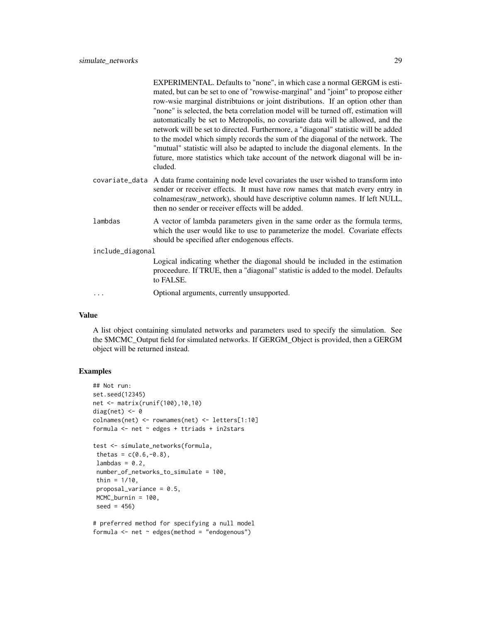|                  | EXPERIMENTAL. Defaults to "none", in which case a normal GERGM is esti-<br>mated, but can be set to one of "rowwise-marginal" and "joint" to propose either<br>row-wsie marginal distributions or joint distributions. If an option other than<br>"none" is selected, the beta correlation model will be turned off, estimation will<br>automatically be set to Metropolis, no covariate data will be allowed, and the<br>network will be set to directed. Furthermore, a "diagonal" statistic will be added<br>to the model which simply records the sum of the diagonal of the network. The<br>"mutual" statistic will also be adapted to include the diagonal elements. In the<br>future, more statistics which take account of the network diagonal will be in-<br>cluded. |  |  |
|------------------|--------------------------------------------------------------------------------------------------------------------------------------------------------------------------------------------------------------------------------------------------------------------------------------------------------------------------------------------------------------------------------------------------------------------------------------------------------------------------------------------------------------------------------------------------------------------------------------------------------------------------------------------------------------------------------------------------------------------------------------------------------------------------------|--|--|
|                  | covariate_data A data frame containing node level covariates the user wished to transform into<br>sender or receiver effects. It must have row names that match every entry in<br>colnames(raw_network), should have descriptive column names. If left NULL,<br>then no sender or receiver effects will be added.                                                                                                                                                                                                                                                                                                                                                                                                                                                              |  |  |
| lambdas          | A vector of lambda parameters given in the same order as the formula terms,<br>which the user would like to use to parameterize the model. Covariate effects<br>should be specified after endogenous effects.                                                                                                                                                                                                                                                                                                                                                                                                                                                                                                                                                                  |  |  |
| include_diagonal |                                                                                                                                                                                                                                                                                                                                                                                                                                                                                                                                                                                                                                                                                                                                                                                |  |  |
|                  | Logical indicating whether the diagonal should be included in the estimation<br>proceedure. If TRUE, then a "diagonal" statistic is added to the model. Defaults<br>to FALSE.                                                                                                                                                                                                                                                                                                                                                                                                                                                                                                                                                                                                  |  |  |
|                  | Optional arguments, currently unsupported.                                                                                                                                                                                                                                                                                                                                                                                                                                                                                                                                                                                                                                                                                                                                     |  |  |

### Value

A list object containing simulated networks and parameters used to specify the simulation. See the \$MCMC\_Output field for simulated networks. If GERGM\_Object is provided, then a GERGM object will be returned instead.

### Examples

```
## Not run:
set.seed(12345)
net <- matrix(runif(100),10,10)
diag(net) <-0colnames(net) <- rownames(net) <- letters[1:10]
formula <- net ~ edges + ttriads + in2stars
test <- simulate_networks(formula,
thetas = c(0.6, -0.8),
lambdas = 0.2,
 number_of_networks_to_simulate = 100,
 thin = 1/10,
 proposal_variance = 0.5,
MCMC_burnin = 100,
 seed = 456)
```
# preferred method for specifying a null model formula  $\leq$  net  $\sim$  edges(method = "endogenous")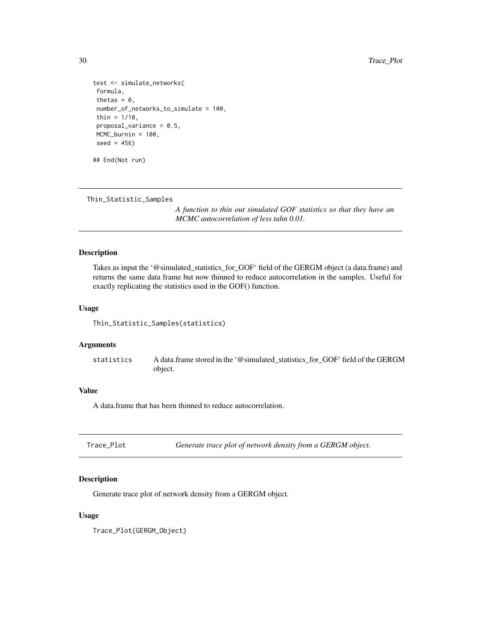```
test <- simulate_networks(
formula,
thetas = 0,
number_of_networks_to_simulate = 100,
thin = 1/10,
proposal_variance = 0.5,
MCMC_burnin = 100,
seed = 456)
## End(Not run)
```
Thin\_Statistic\_Samples

*A function to thin out simulated GOF statistics so that they have an MCMC autocorrelation of less tahn 0.01.*

#### Description

Takes as input the '@simulated\_statistics\_for\_GOF' field of the GERGM object (a data.frame) and returns the same data frame but now thinned to reduce autocorrelation in the samples. Useful for exactly replicating the statistics used in the GOF() function.

### Usage

```
Thin_Statistic_Samples(statistics)
```
#### Arguments

statistics A data.frame stored in the '@simulated\_statistics\_for\_GOF' field of the GERGM object.

### Value

A data.frame that has been thinned to reduce autocorrelation.

### Description

Generate trace plot of network density from a GERGM object.

### Usage

Trace\_Plot(GERGM\_Object)

<span id="page-29-0"></span>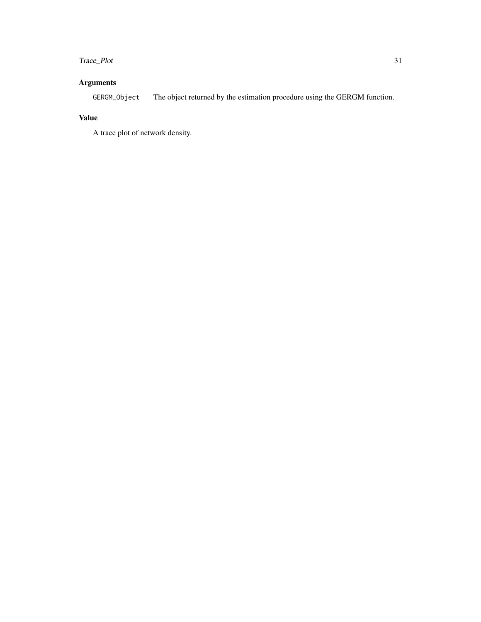### Trace\_Plot 31

### Arguments

GERGM\_Object The object returned by the estimation procedure using the GERGM function.

### Value

A trace plot of network density.